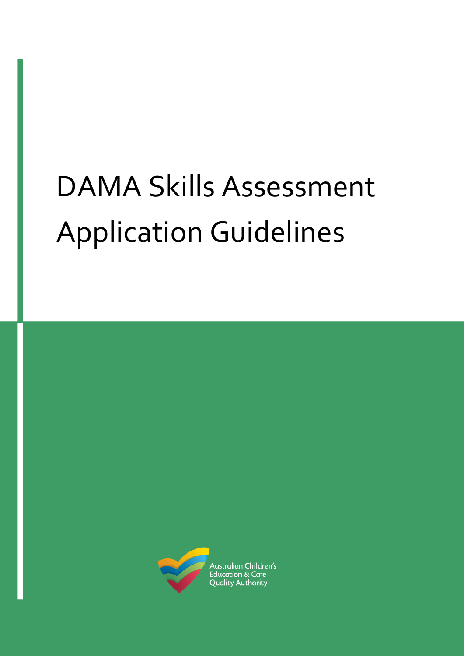# DAMA Skills Assessment Application Guidelines

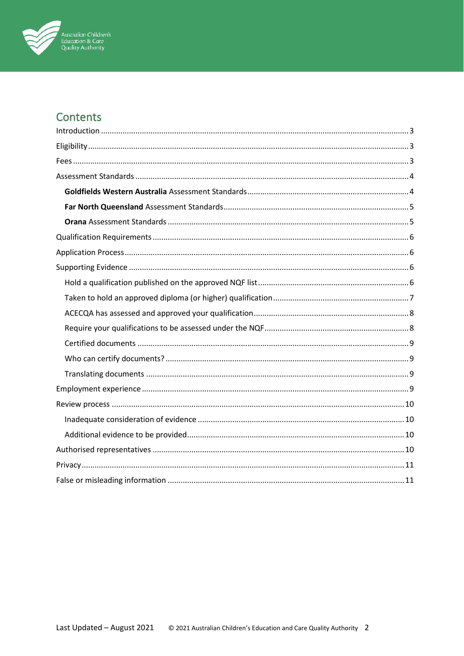

# Contents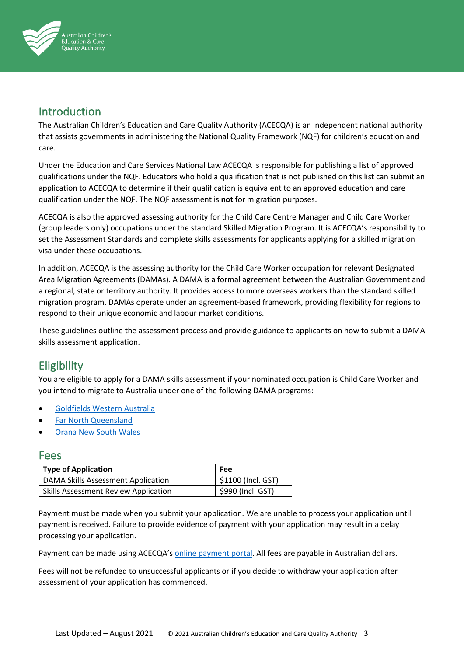

# Introduction

The Australian Children's Education and Care Quality Authority (ACECQA) is an independent national authority that assists governments in administering the National Quality Framework (NQF) for children's education and care.

Under the Education and Care Services National Law ACECQA is responsible for publishing a list of approved qualifications under the NQF. Educators who hold a qualification that is not published on this list can submit an application to ACECQA to determine if their qualification is equivalent to an approved education and care qualification under the NQF. The NQF assessment is **not** for migration purposes.

ACECQA is also the approved assessing authority for the Child Care Centre Manager and Child Care Worker (group leaders only) occupations under the standard Skilled Migration Program. It is ACECQA's responsibility to set the Assessment Standards and complete skills assessments for applicants applying for a skilled migration visa under these occupations.

In addition, ACECQA is the assessing authority for the Child Care Worker occupation for relevant Designated Area Migration Agreements (DAMAs). A DAMA is a formal agreement between the Australian Government and a regional, state or territory authority. It provides access to more overseas workers than the standard skilled migration program. DAMAs operate under an agreement-based framework, providing flexibility for regions to respond to their unique economic and labour market conditions.

These guidelines outline the assessment process and provide guidance to applicants on how to submit a DAMA skills assessment application.

# **Eligibility**

You are eligible to apply for a DAMA skills assessment if your nominated occupation is Child Care Worker and you intend to migrate to Australia under one of the following DAMA programs:

- [Goldfields Western Australia](https://www.ckb.wa.gov.au/Doing-Business/Designated-Area-Migration-Agreement/DAMA-Overview)
- [Far North Queensland](https://www.cairnschamber.com.au/regional-migration/fnq-dama)
- [Orana](https://www.rdaorana.org.au/migration/dama/) New South Wales

## Fees

| <b>Type of Application</b>                  | Fee                |
|---------------------------------------------|--------------------|
| <b>DAMA Skills Assessment Application</b>   | \$1100 (Incl. GST) |
| <b>Skills Assessment Review Application</b> | \$990 (Incl. GST)  |

Payment must be made when you submit your application. We are unable to process your application until payment is received. Failure to provide evidence of payment with your application may result in a delay processing your application.

Payment can be made using ACECQA's [online payment portal.](https://quickweb.westpac.com.au/OnlinePaymentServlet?cd_community=ACECQA&cd_supplier_business=ACECQA&cd_currency=AUD) All fees are payable in Australian dollars.

Fees will not be refunded to unsuccessful applicants or if you decide to withdraw your application after assessment of your application has commenced.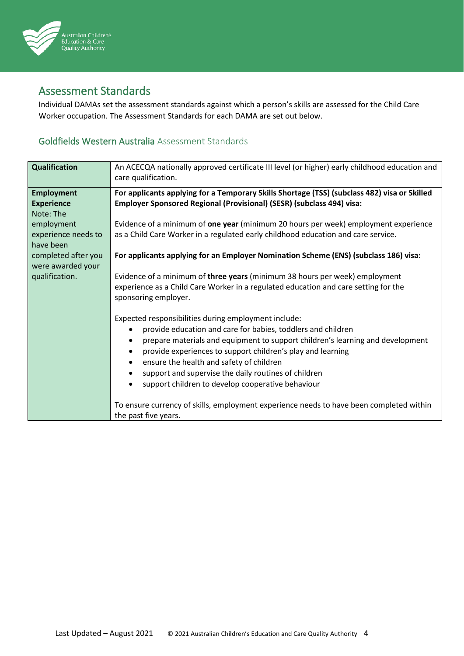

# Assessment Standards

Individual DAMAs set the assessment standards against which a person's skills are assessed for the Child Care Worker occupation. The Assessment Standards for each DAMA are set out below.

## Goldfields Western Australia Assessment Standards

| <b>Qualification</b> | An ACECQA nationally approved certificate III level (or higher) early childhood education and<br>care qualification. |
|----------------------|----------------------------------------------------------------------------------------------------------------------|
| <b>Employment</b>    | For applicants applying for a Temporary Skills Shortage (TSS) (subclass 482) visa or Skilled                         |
| <b>Experience</b>    | Employer Sponsored Regional (Provisional) (SESR) (subclass 494) visa:                                                |
| Note: The            |                                                                                                                      |
| employment           | Evidence of a minimum of one year (minimum 20 hours per week) employment experience                                  |
| experience needs to  | as a Child Care Worker in a regulated early childhood education and care service.                                    |
| have been            |                                                                                                                      |
| completed after you  | For applicants applying for an Employer Nomination Scheme (ENS) (subclass 186) visa:                                 |
| were awarded your    |                                                                                                                      |
| qualification.       | Evidence of a minimum of three years (minimum 38 hours per week) employment                                          |
|                      | experience as a Child Care Worker in a regulated education and care setting for the                                  |
|                      | sponsoring employer.                                                                                                 |
|                      |                                                                                                                      |
|                      | Expected responsibilities during employment include:                                                                 |
|                      | provide education and care for babies, toddlers and children<br>$\bullet$                                            |
|                      | prepare materials and equipment to support children's learning and development<br>$\bullet$                          |
|                      | provide experiences to support children's play and learning<br>$\bullet$                                             |
|                      | ensure the health and safety of children<br>$\bullet$                                                                |
|                      | support and supervise the daily routines of children<br>$\bullet$                                                    |
|                      | support children to develop cooperative behaviour<br>$\bullet$                                                       |
|                      |                                                                                                                      |
|                      | To ensure currency of skills, employment experience needs to have been completed within                              |
|                      | the past five years.                                                                                                 |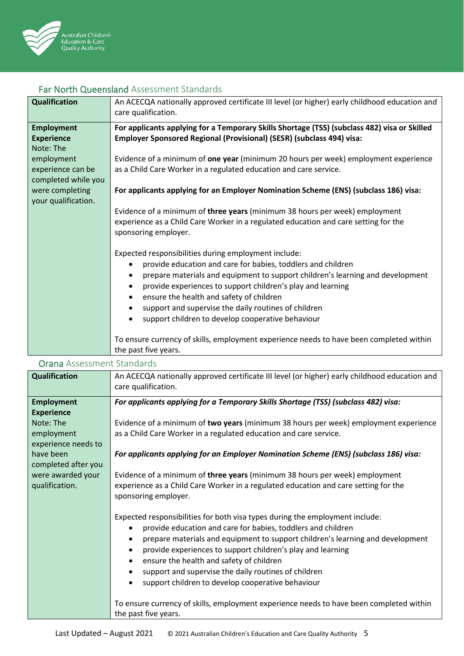

## Far North Queensland Assessment Standards

| <b>Qualification</b>                                                                                                                                    | An ACECQA nationally approved certificate III level (or higher) early childhood education and<br>care qualification.                                                                                                                                                                                                                                                                                                                                                                                                                                                                                                                                                                                                                                         |
|---------------------------------------------------------------------------------------------------------------------------------------------------------|--------------------------------------------------------------------------------------------------------------------------------------------------------------------------------------------------------------------------------------------------------------------------------------------------------------------------------------------------------------------------------------------------------------------------------------------------------------------------------------------------------------------------------------------------------------------------------------------------------------------------------------------------------------------------------------------------------------------------------------------------------------|
| <b>Employment</b><br><b>Experience</b><br>Note: The<br>employment<br>experience can be<br>completed while you<br>were completing<br>your qualification. | For applicants applying for a Temporary Skills Shortage (TSS) (subclass 482) visa or Skilled<br>Employer Sponsored Regional (Provisional) (SESR) (subclass 494) visa:<br>Evidence of a minimum of one year (minimum 20 hours per week) employment experience<br>as a Child Care Worker in a regulated education and care service.<br>For applicants applying for an Employer Nomination Scheme (ENS) (subclass 186) visa:<br>Evidence of a minimum of three years (minimum 38 hours per week) employment<br>experience as a Child Care Worker in a regulated education and care setting for the<br>sponsoring employer.<br>Expected responsibilities during employment include:<br>provide education and care for babies, toddlers and children<br>$\bullet$ |
|                                                                                                                                                         | prepare materials and equipment to support children's learning and development<br>provide experiences to support children's play and learning<br>$\bullet$<br>ensure the health and safety of children<br>$\bullet$<br>support and supervise the daily routines of children<br>$\bullet$<br>support children to develop cooperative behaviour<br>$\bullet$<br>To ensure currency of skills, employment experience needs to have been completed within                                                                                                                                                                                                                                                                                                        |
|                                                                                                                                                         | the past five years.                                                                                                                                                                                                                                                                                                                                                                                                                                                                                                                                                                                                                                                                                                                                         |

#### Orana Assessment Standards

| <b>Qualification</b> | An ACECQA nationally approved certificate III level (or higher) early childhood education and<br>care qualification. |
|----------------------|----------------------------------------------------------------------------------------------------------------------|
| <b>Employment</b>    | For applicants applying for a Temporary Skills Shortage (TSS) (subclass 482) visa:                                   |
| <b>Experience</b>    |                                                                                                                      |
| Note: The            | Evidence of a minimum of two years (minimum 38 hours per week) employment experience                                 |
| employment           | as a Child Care Worker in a regulated education and care service.                                                    |
| experience needs to  |                                                                                                                      |
| have been            | For applicants applying for an Employer Nomination Scheme (ENS) (subclass 186) visa:                                 |
| completed after you  |                                                                                                                      |
| were awarded your    | Evidence of a minimum of three years (minimum 38 hours per week) employment                                          |
| qualification.       | experience as a Child Care Worker in a regulated education and care setting for the                                  |
|                      | sponsoring employer.                                                                                                 |
|                      | Expected responsibilities for both visa types during the employment include:                                         |
|                      | provide education and care for babies, toddlers and children<br>$\bullet$                                            |
|                      | prepare materials and equipment to support children's learning and development<br>$\bullet$                          |
|                      | provide experiences to support children's play and learning                                                          |
|                      | ensure the health and safety of children<br>$\bullet$                                                                |
|                      | support and supervise the daily routines of children<br>$\bullet$                                                    |
|                      | support children to develop cooperative behaviour                                                                    |
|                      |                                                                                                                      |
|                      | To ensure currency of skills, employment experience needs to have been completed within                              |
|                      | the past five years.                                                                                                 |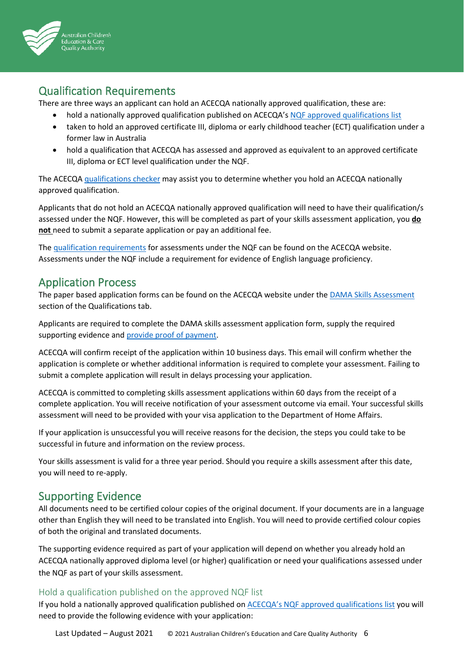

# Qualification Requirements

There are three ways an applicant can hold an ACECQA nationally approved qualification, these are:

- hold a nationally approved qualification published on ACECQA's [NQF approved qualifications list](https://www.acecqa.gov.au/qualifications/nqf-approved)
- taken to hold an approved certificate III, diploma or early childhood teacher (ECT) qualification under a former law in Australia
- hold a qualification that ACECQA has assessed and approved as equivalent to an approved certificate III, diploma or ECT level qualification under the NQF.

The ACECQA [qualifications checker](https://www.acecqa.gov.au/qualifications/check) may assist you to determine whether you hold an ACECQA nationally approved qualification.

Applicants that do not hold an ACECQA nationally approved qualification will need to have their qualification/s assessed under the NQF. However, this will be completed as part of your skills assessment application, you **do not** need to submit a separate application or pay an additional fee.

Th[e qualification requirements](https://www.acecqa.gov.au/qualifications/assessment/apply/early-childhood) for assessments under the NQF can be found on the ACECQA website. Assessments under the NQF include a requirement for evidence of English language proficiency.

## Application Process

The paper based application forms can be found on the ACECQA website under the [DAMA Skills](https://www.acecqa.gov.au/qualifications/dama-skills-assessment) Assessment section of the Qualifications tab.

Applicants are required to complete the DAMA skills assessment application form, supply the required supporting evidence and [provide proof of payment.](https://www.acecqa.gov.au/help/pay-online)

ACECQA will confirm receipt of the application within 10 business days. This email will confirm whether the application is complete or whether additional information is required to complete your assessment. Failing to submit a complete application will result in delays processing your application.

ACECQA is committed to completing skills assessment applications within 60 days from the receipt of a complete application. You will receive notification of your assessment outcome via email. Your successful skills assessment will need to be provided with your visa application to the Department of Home Affairs.

If your application is unsuccessful you will receive reasons for the decision, the steps you could take to be successful in future and information on the review process.

Your skills assessment is valid for a three year period. Should you require a skills assessment after this date, you will need to re-apply.

# Supporting Evidence

All documents need to be certified colour copies of the original document. If your documents are in a language other than English they will need to be translated into English. You will need to provide certified colour copies of both the original and translated documents.

The supporting evidence required as part of your application will depend on whether you already hold an ACECQA nationally approved diploma level (or higher) qualification or need your qualifications assessed under the NQF as part of your skills assessment.

## Hold a qualification published on the approved NQF list

If you hold a nationally approved qualification published on **ACECQA's NQF** approved qualifications list you will need to provide the following evidence with your application: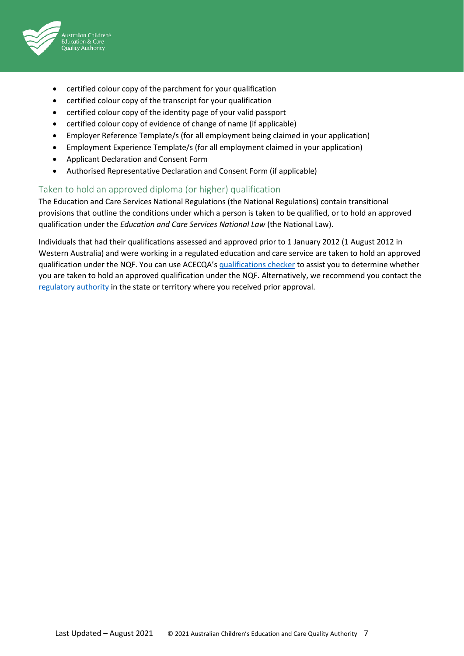

- certified colour copy of the parchment for your qualification
- certified colour copy of the transcript for your qualification
- certified colour copy of the identity page of your valid passport
- certified colour copy of evidence of change of name (if applicable)
- Employer Reference Template/s (for all employment being claimed in your application)
- Employment Experience Template/s (for all employment claimed in your application)
- Applicant Declaration and Consent Form
- Authorised Representative Declaration and Consent Form (if applicable)

#### Taken to hold an approved diploma (or higher) qualification

The Education and Care Services National Regulations (the National Regulations) contain transitional provisions that outline the conditions under which a person is taken to be qualified, or to hold an approved qualification under the *Education and Care Services National Law* (the National Law).

Individuals that had their qualifications assessed and approved prior to 1 January 2012 (1 August 2012 in Western Australia) and were working in a regulated education and care service are taken to hold an approved qualification under the NQF. You can use ACECQA's [qualifications checker](https://www.acecqa.gov.au/qualifications/check) to assist you to determine whether you are taken to hold an approved qualification under the NQF. Alternatively, we recommend you contact the [regulatory authority](https://www.acecqa.gov.au/help/contact-your-regulatory-authority) in the state or territory where you received prior approval.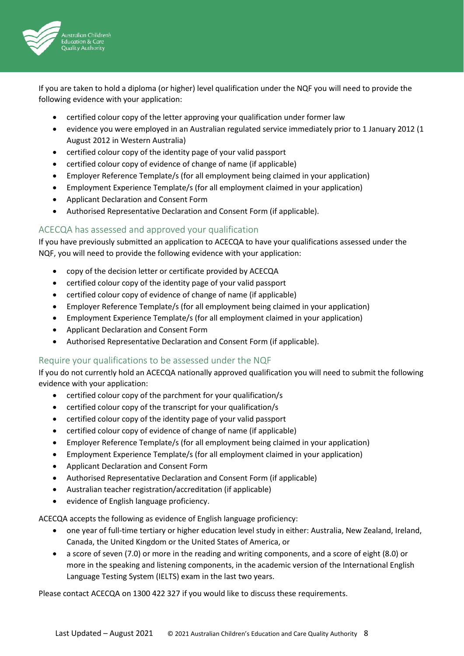

If you are taken to hold a diploma (or higher) level qualification under the NQF you will need to provide the following evidence with your application:

- certified colour copy of the letter approving your qualification under former law
- evidence you were employed in an Australian regulated service immediately prior to 1 January 2012 (1 August 2012 in Western Australia)
- certified colour copy of the identity page of your valid passport
- certified colour copy of evidence of change of name (if applicable)
- Employer Reference Template/s (for all employment being claimed in your application)
- Employment Experience Template/s (for all employment claimed in your application)
- Applicant Declaration and Consent Form
- Authorised Representative Declaration and Consent Form (if applicable).

#### ACECQA has assessed and approved your qualification

If you have previously submitted an application to ACECQA to have your qualifications assessed under the NQF, you will need to provide the following evidence with your application:

- copy of the decision letter or certificate provided by ACECQA
- certified colour copy of the identity page of your valid passport
- certified colour copy of evidence of change of name (if applicable)
- Employer Reference Template/s (for all employment being claimed in your application)
- Employment Experience Template/s (for all employment claimed in your application)
- Applicant Declaration and Consent Form
- Authorised Representative Declaration and Consent Form (if applicable).

#### Require your qualifications to be assessed under the NQF

If you do not currently hold an ACECQA nationally approved qualification you will need to submit the following evidence with your application:

- certified colour copy of the parchment for your qualification/s
- certified colour copy of the transcript for your qualification/s
- certified colour copy of the identity page of your valid passport
- certified colour copy of evidence of change of name (if applicable)
- Employer Reference Template/s (for all employment being claimed in your application)
- Employment Experience Template/s (for all employment claimed in your application)
- Applicant Declaration and Consent Form
- Authorised Representative Declaration and Consent Form (if applicable)
- Australian teacher registration/accreditation (if applicable)
- evidence of English language proficiency.

ACECQA accepts the following as evidence of English language proficiency:

- one year of full-time tertiary or higher education level study in either: Australia, New Zealand, Ireland, Canada, the United Kingdom or the United States of America, or
- a score of seven (7.0) or more in the reading and writing components, and a score of eight (8.0) or more in the speaking and listening components, in the academic version of the International English Language Testing System (IELTS) exam in the last two years.

Please contact ACECQA on 1300 422 327 if you would like to discuss these requirements.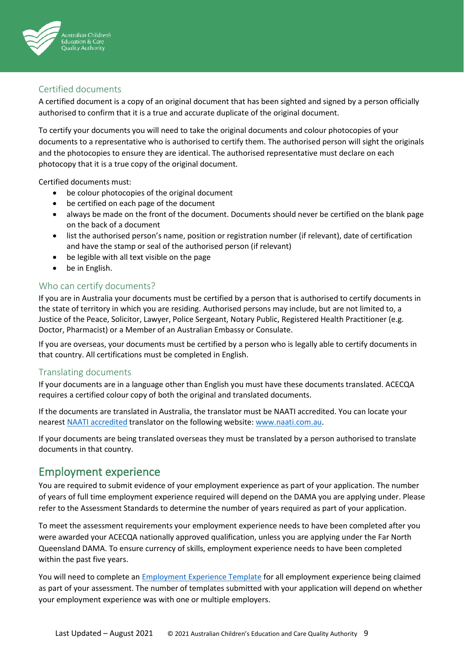

## Certified documents

A certified document is a copy of an original document that has been sighted and signed by a person officially authorised to confirm that it is a true and accurate duplicate of the original document.

To certify your documents you will need to take the original documents and colour photocopies of your documents to a representative who is authorised to certify them. The authorised person will sight the originals and the photocopies to ensure they are identical. The authorised representative must declare on each photocopy that it is a true copy of the original document.

Certified documents must:

- be colour photocopies of the original document
- be certified on each page of the document
- always be made on the front of the document. Documents should never be certified on the blank page on the back of a document
- list the authorised person's name, position or registration number (if relevant), date of certification and have the stamp or seal of the authorised person (if relevant)
- be legible with all text visible on the page
- be in English.

#### Who can certify documents?

If you are in Australia your documents must be certified by a person that is authorised to certify documents in the state of territory in which you are residing. Authorised persons may include, but are not limited to, a Justice of the Peace, Solicitor, Lawyer, Police Sergeant, Notary Public, Registered Health Practitioner (e.g. Doctor, Pharmacist) or a Member of an Australian Embassy or Consulate.

If you are overseas, your documents must be certified by a person who is legally able to certify documents in that country. All certifications must be completed in English.

#### Translating documents

If your documents are in a language other than English you must have these documents translated. ACECQA requires a certified colour copy of both the original and translated documents.

If the documents are translated in Australia, the translator must be NAATI accredited. You can locate your nearest [NAATI accredited](https://www.naati.com.au/) translator on the following website: www.naati.com.au.

If your documents are being translated overseas they must be translated by a person authorised to translate documents in that country.

## Employment experience

You are required to submit evidence of your employment experience as part of your application. The number of years of full time employment experience required will depend on the DAMA you are applying under. Please refer to the Assessment Standards to determine the number of years required as part of your application.

To meet the assessment requirements your employment experience needs to have been completed after you were awarded your ACECQA nationally approved qualification, unless you are applying under the Far North Queensland DAMA. To ensure currency of skills, employment experience needs to have been completed within the past five years.

You will need to complete an [Employment Experience Template](https://www.acecqa.gov.au/sites/default/files/2019-11/Employment-Experience-Template.pdf) for all employment experience being claimed as part of your assessment. The number of templates submitted with your application will depend on whether your employment experience was with one or multiple employers.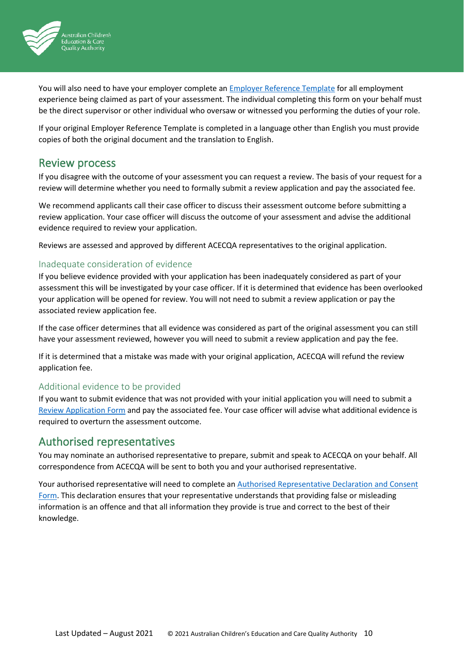

You will also need to have your employer complete an Employer [Reference Template](https://www.acecqa.gov.au/sites/default/files/2019-11/Employer-Reference-Template.pdf) for all employment experience being claimed as part of your assessment. The individual completing this form on your behalf must be the direct supervisor or other individual who oversaw or witnessed you performing the duties of your role.

If your original Employer Reference Template is completed in a language other than English you must provide copies of both the original document and the translation to English.

## Review process

If you disagree with the outcome of your assessment you can request a review. The basis of your request for a review will determine whether you need to formally submit a review application and pay the associated fee.

We recommend applicants call their case officer to discuss their assessment outcome before submitting a review application. Your case officer will discuss the outcome of your assessment and advise the additional evidence required to review your application.

Reviews are assessed and approved by different ACECQA representatives to the original application.

#### Inadequate consideration of evidence

If you believe evidence provided with your application has been inadequately considered as part of your assessment this will be investigated by your case officer. If it is determined that evidence has been overlooked your application will be opened for review. You will not need to submit a review application or pay the associated review application fee.

If the case officer determines that all evidence was considered as part of the original assessment you can still have your assessment reviewed, however you will need to submit a review application and pay the fee.

If it is determined that a mistake was made with your original application, ACECQA will refund the review application fee.

### Additional evidence to be provided

If you want to submit evidence that was not provided with your initial application you will need to submit a [Review Application Form](https://www.acecqa.gov.au/sites/default/files/2019-11/Skills-Assessment-Review-Application-Form.pdf) and pay the associated fee. Your case officer will advise what additional evidence is required to overturn the assessment outcome.

## Authorised representatives

You may nominate an authorised representative to prepare, submit and speak to ACECQA on your behalf. All correspondence from ACECQA will be sent to both you and your authorised representative.

Your authorised representative will need to complete a[n Authorised Representative Declaration](https://www.acecqa.gov.au/sites/default/files/2019-11/Authorised-Representative-Declaration-and-Consent-Form_0.pdf) and Consent [Form.](https://www.acecqa.gov.au/sites/default/files/2019-11/Authorised-Representative-Declaration-and-Consent-Form_0.pdf) This declaration ensures that your representative understands that providing false or misleading information is an offence and that all information they provide is true and correct to the best of their knowledge.